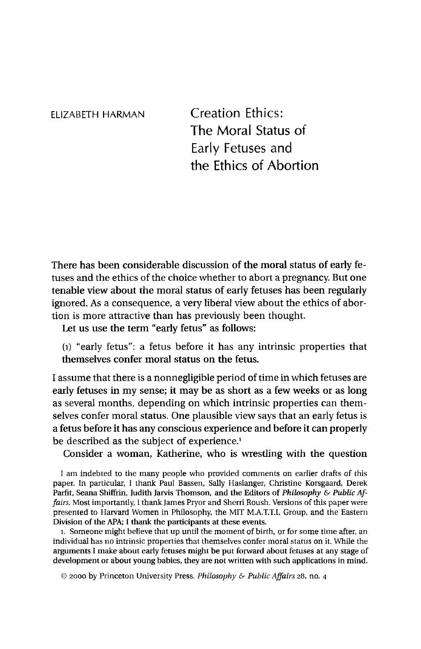ELIZABETH HARMAN Creation Ethics: The Moral Status of Early Fetuses and the Ethics of Abortion

There has been considerable discussion of the moral status of early fetuses and the ethics of the choice whether to abort a pregnancy. But one tenable view about the moral status of early fetuses has been regularly ignored. **As** a consequence, a very liberal view about the ethics of abortion is more attractive than has previously been thought.

Let us use the term "early fetus" as follows:

**(1)** "early fetus": a fetus before it has any intrinsic properties that themselves confer moral status on the fetus.

I assume that there is a nonnegligible period **of** time in which fetuses are early fetuses in my sense; it may be as short as a few weeks or as long as several months, depending on which intrinsic properties can themselves confer moral status. One plausible view says that an early fetus is a fetus before it has any conscious experience and before it can properly be described as the subject of experience.<sup>1</sup>

Consider a woman, Katherine, who is wrestling with the question

I am indebted to the many people who provided comments on earlier drafts of this paper. In particular, I thank Paul Bassen, Sally Haslanger, Christine Korsgaard, Derek Parfit, Seana Shiffrin, Judith Jarvis Thomson, and the Editors **of** *Philosophy G. Public* **AF**  *fairs.* Most importantly, I thank James Pryor and Sherri Roush. Versions of this paper were presented to Harvard Women in Philosophy, the MIT M.A.T.T.I. Group, and the Eastern Division **of** the *AP&* **I** thank the participants at these events.

**I.** Someone might believe that up until the moment of birth, or for some time after, an individual has no intrinsic properties that themselves confer moral status on it. While the arguments **I** make about early fetuses might be put forward about fetuses at any stage of development or about young babies, they are not written with such applications in mind.

*0* 2000 by Princeton University Press. *Philosophy* & *Public Affairs* **28,** no. 4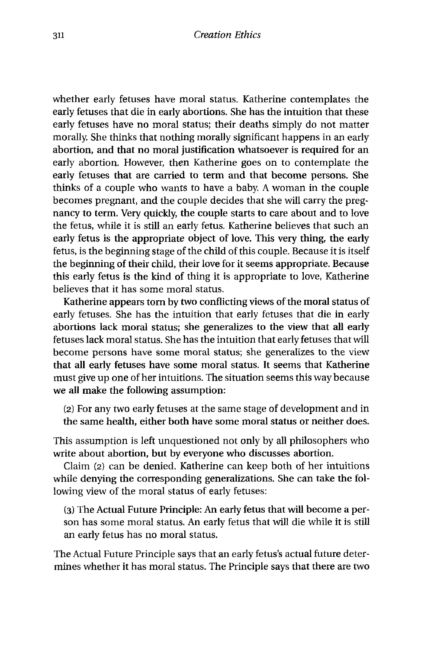whether early fetuses have moral status. Katherine contemplates the early fetuses that die in early abortions. She has the intuition that these early fetuses have no moral status; their deaths simply do not matter morally She thinks that nothing morally significant happens in an early abortion, and that no moral justification whatsoever is required for an early abortion. However, then Katherine goes on to contemplate the early fetuses that are carried to term and that become persons. She thinks of a couple who wants to have a baby. A woman in the couple becomes pregnant, and the couple decides that she will carry the pregnancy to term. Very quickly, the couple starts to care about and to love the fetus, while it is still an early fetus. Katherine believes that such an early fetus is the appropriate object of love. This very thing, the early fetus, is the beginning stage of the child of this couple. Because it is itself the beginning of their child, their love for it seems appropriate. Because this early fetus is the kind of thing it is appropriate to love, Katherine believes that it has some moral status.

Katherine appears torn by two conflicting views of the moral status of early fetuses. She has the intuition that early fetuses that die in early abortions lack moral status; she generalizes to the view that all early fetuses lack moral status. She has the intuition that early fetuses that will become persons have some moral status; she generalizes to the view that all early fetuses have some moral status. It seems that Katherine must give up one of her intuitions. The situation seems this way because we **all** make the following assumption:

*(2)* For any two early fetuses at the same stage of development and in the same health, either both have some moral status or neither does.

This assumption is left unquestioned not only by all philosophers who write about abortion, but by everyone who discusses abortion.

Claim **(2)** can be denied. Katherine can keep both of her intuitions while denying the corresponding generalizations. She can take the following view of the moral status of early fetuses:

**(3)** The Actual Future Principle: An early fetus that will become a person has some moral status. **An** early fetus that will die while it is still an early fetus has no moral status.

'The Actual Future Principle says that an early fetus's actual future determines whether it has moral status. The Principle says that there are *two*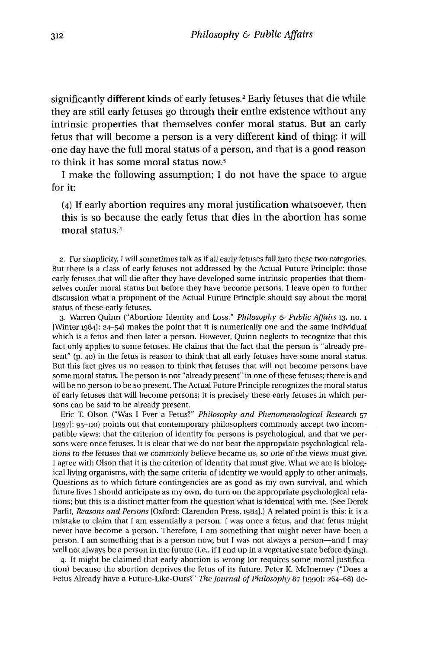significantly different kinds of early fetuses.<sup>2</sup> Early fetuses that die while they are still early fetuses go through their entire existence without any intrinsic properties that themselves confer moral status. But an early fetus that will become a person is a very different kind of thing: it will one day have the full moral status of a person, and that is a good reason to think it has some moral status now.3

I make the following assumption; I do not have the space to argue for it:

(4) If early abortion requires any moral justification whatsoever, then this is so because the early fetus that dies in the abortion has some moral status.4

*2.* For simplicity, I will sometimes talk as if all early fetuses fall into these two categories. But there is a class of early fetuses not addressed by the Actual Future Principle: those early fetuses that will die after they have developed some intrinsic properties that themselves confer moral status but before they have become persons. I leave open to further discussion what a proponent of the Actual Future Principle should say about the moral status of these early fetuses.

**3.** Warren Quinn ("Abortion: Identity and Loss," *Philosophy G Public Affairs* **13,** no. **<sup>1</sup>** [Winter 19841: 24-54) makes the point that it is numerically one and the same individual which is a fetus and then later a person. However, Quinn neglects to recognize that this fact only applies to some fetuses. He claims that the fact that the person is "already present" (p. 40) in the fetus is reason to think that all early fetuses have some moral status. But this fact gives us no reason to think that fetuses that will not become persons have some moral status. The person is not "already present" in one of these fetuses; there is and will be no person to be so present. The Actual Future Principle recognizes the moral status of early fetuses that will become persons; it is precisely these early fetuses in which persons can be said to be already present.

Eric T. Olson ("Was I Ever a Fetus?" *Philosophy and Phenomenological Research* 57 [1gg7]: 95-110) points out that contemporary philosophers commonly accept two incompatible views: that the criterion of identity for persons is psychological, and that we persons were once fetuses. It is clear that we do not bear the appropriate psychological relations *to* the fetuses that we commonly believe became us, so one of the views must give. I agree with Olson that it is the criterion of identity that must give. What we are is biological living organisms, with the same criteria of identity we would apply to other animals. Questions as to which future contingencies are as good as my own survival, and which future lives I should anticipate as my own, do turn on the appropriate psychological relations; but this is a distinct matter from the question what is identical with me. (See Derek Parfit, *Reasons and Persons* [Oxford: Clarendon Press, 19841.) **A** related point is this: it is a mistake to claim that I am essentially a person. I was once a fetus, and that fetus might never have become a person. Therefore, I am something that might never have been a person. I am something that is a person now, but I was not always a person-and I may well not always be a person in the future (i.e., if **I** end up in a vegetative state before dying).

4. It might be claimed that early abortion is wrong (or requires some moral justification) because the abortion deprives the fetus of its future. Peter K. McInerney ("Does a Fetus Already have a Future-Like-Ours?" *The Journal of Philosophy* 87 [1990]: 264-68) de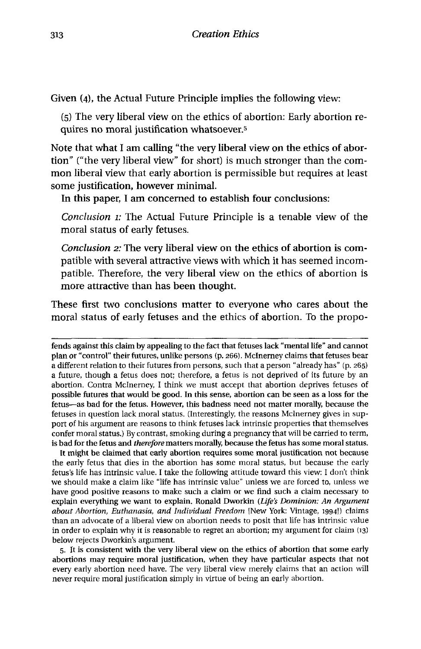Given (4), the Actual Future Principle implies the following view:

**(5)** The very liberal view on the ethics of abortion: Early abortion requires no moral justification whatsoever.5

Note that what **I** am calling "the very liberal view on the ethics of abortion" ("the very liberal view" for short) is much stronger than the common liberal view that early abortion is permissible but requires at least some justification, however minimal.

**In** this paper, I am concerned to establish four conclusions:

*Conclusion 1:* The Actual Future Principle is a tenable view of the moral status of early fetuses.

*Conclusion 2:* The very liberal view on the ethics **of** abortion **is** compatible with several attractive views with which it has seemed incompatible. Therefore, the very liberal view on the ethics of abortion is more attractive than has been thought.

These first two conclusions matter to everyone who cares about the moral status of early fetuses and the ethics of abortion. To the propo-

fends against this claim by appealing to the fact that fetuses lack "mental life" and cannot plan or "control" their futures, unlike persons (p. **266).** McInerney claims that fetuses bear a different relation to their futures from persons, such that a person "already has" (p. **265)**  a future, though a fetus does not; therefore, a fetus is not deprived of its future by an abortion. Contra McInerney, I think we must accept that abortion deprives fetuses of possible futures that would be good. In this sense, abortion can be seen as a **loss** for the fetus-as bad for the fetus. However, this badness need not matter morally, because the fetuses in question lack moral status. (Interestingly, the reasons McInerney gives in support of his argument are reasons to think fetuses lack intrinsic properties that themselves confer moral status.) By contrast, smoking during a pregnancy that will be carried to term, is bad for the fetus and *therefore* matters morally, because the fetus has some moral status.

**It** might be claimed that early abortion requires some moral justification not because the early fetus that dies in the abortion has some moral status, but because the early fetus's life has intrinsic value. I take the following attitude toward this view: I don't think we should make a claim like "life has intrinsic value" unless we are forced to, unless we have good positive reasons to make such a claim or we find such a claim necessary to explain everything we want to explain. Ronald Dworkin *(Life\$ Dominion: An Argument about Abortion, Euthanasia, and Individual Freedom [New York: Vintage, 1994])* claims than an advocate of a liberal view on abortion needs to posit that life has intrinsic value in order to explain why it is reasonable to regret an abortion; my argument for claim **(13)**  below rejects Dworkin's argument.

**5.** It is consistent with the very liberal view on the ethics of abortion that some early abortions may require moral justification, when they have particular aspects that not every early abortion need have. The very liberal view merely claims that an action will never require moral justification simply in virtue of being an early abortion.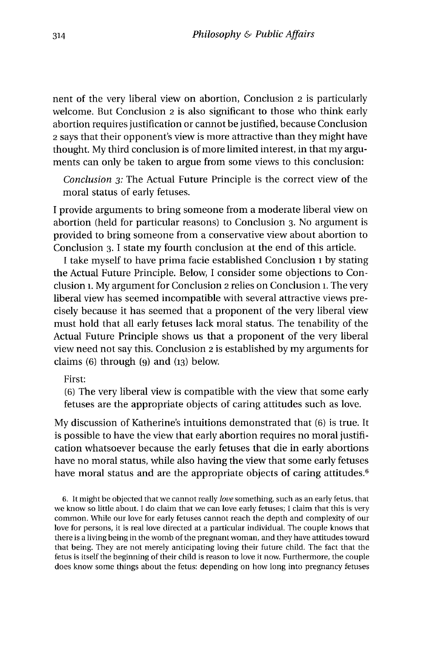nent of the very liberal view on abortion, Conclusion 2 is particularly welcome. But Conclusion 2 is also significant to those who think early abortion requires justification or cannot be justified, because Conclusion 2 says that their opponent's view is more attractive than they might have thought. My third conclusion is of more limited interest, in that my arguments can only be taken to argue from some views to this conclusion:

*Conclusion 3:* The Actual Future Principle is the correct view of the moral status of early fetuses.

I provide arguments to bring someone from a moderate liberal view on abortion (held for particular reasons) to Conclusion **3.** No argument is provided to bring someone from a conservative view about abortion to Conclusion **3.** I state my fourth conclusion at the end of this article.

I take myself to have prima facie established Conclusion **1** by stating the Actual Future Principle. Below, I consider some objections to Conclusion **1.** My argument for Conclusion 2 relies on Conclusion **1.** The very liberal view has seemed incompatible with several attractive views precisely because it has seemed that a proponent of the very liberal view must hold that all early fetuses lack moral status. The tenability of the Actual Future Principle shows us that a proponent of the very liberal view need not say this. Conclusion 2 is established by my arguments for claims (6) through (9) and **(13)** below.

First:

(6) The very liberal view is compatible with the view that some early fetuses are the appropriate objects of caring attitudes such as love.

My discussion of Katherine's intuitions demonstrated that **(6)** is true. It is possible to have the view that early abortion requires no moral justification whatsoever because the early fetuses that die in early abortions have no moral status, while also having the view that some early fetuses have moral status and are the appropriate objects of caring attitudes.<sup>6</sup>

**6.** It might be objected that we cannot really *love* something, such as an early fetus, that we know so little about. I do claim that we can love early fetuses; I claim that this is very common. While our love for early fetuses cannot reach the depth and complexity of our love for persons, it is real love directed at a particular individual. The couple knows that there is a living being in the womb **of** the pregnant woman, and they have attitudes toward that being. They are not merely anticipating loving their future child. The fact that the fetus is itself the beginning of their child is reason to love it now. Furthermore, the couple does know some things about the fetus: depending on how long into pregnancy fetuses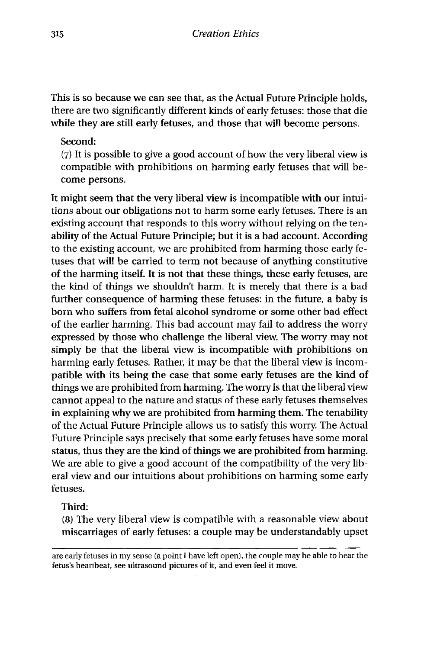This is *so* because we can see that, as the Actual Future Principle holds, there are two significantly different kinds of early fetuses: those that die while they are still early fetuses, and those that will become persons.

## Second:

*(7)* It is possible to give a good account of how the very liberal view **is**  compatible with prohibitions on harming early fetuses that will become persons.

It might seem that the very liberal view is incompatible with our intuitions about our obligations not to harm some early fetuses. There is an existing account that responds to this worry without relying on the tenability of the Actual Future Principle; but it is a bad account. According to the existing account, we are prohibited from harming those early fetuses that will be carried to term not because of anything constitutive of the harming itself. It is not that these things, these early fetuses, are the kind of things we shouldn't harm. It is merely that there is a bad further consequence **of** harming these fetuses: in the future, a baby is born who suffers from fetal alcohol syndrome **or** some other bad effect of the earlier harming. This bad account may fail to address the worry expressed by those who challenge the liberal view. The worry may not simply be that the liberal view is incompatible with prohibitions on harming early fetuses. Rather, it may be that the liberal view is incompatible with its being the case that some early fetuses are the kind of things we are prohibited from harming. The worry is that the liberal view cannot appeal to the nature and status of these early fetuses themselves in explaining why we are prohibited from harming them. The tenability of the Actual Future Principle allows us to satisfy this worry. The Actual Future Principle says precisely that some early fetuses have some moral status, thus they are the kind of things we are prohibited from harming. We are able to give a good account of the compatibility of the very liberal view and our intuitions about prohibitions on harming some early fetuses.

Third:

(8) The very liberal view is compatible with a reasonable view about miscarriages of early fetuses: a couple may be understandably upset

are early fetuses in my sense (a point **I** have left open), the couple may be able to hear the fetus's heartbeat, see ultrasound pictures of it, **and** even feel it move.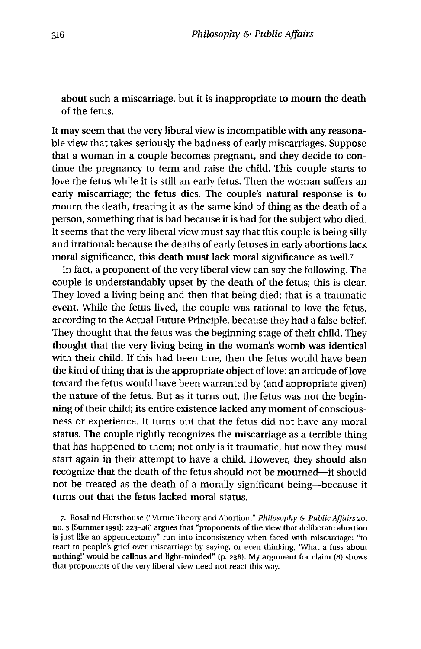about such a miscarriage, but it is inappropriate to mourn the death of the fetus.

It may seem that the very liberal view is incompatible with any reasonable view that takes seriously the badness of early miscarriages. Suppose that a woman in a couple becomes pregnant, and they decide to continue the pregnancy to term and raise the child. This couple starts to love the fetus while it is still an early fetus. Then the woman suffers an early miscarriage; the fetus dies. The couple's natural response is to mourn the death, treating it as the same kind of thing as the death of a person, something that is bad because it is bad for the subject who died. It seems that the very liberal view must say that this couple is being silly and irrational: because the deaths of early fetuses in early abortions lack moral significance, this death must lack moral significance as well.<sup>7</sup>

In fact, a proponent of the very liberal view can say the following. The couple is understandably upset by the death of the fetus; this is clear. They loved a living being and then that being died; that is a traumatic event. While the fetus lived, the couple was rational to love the fetus, according to the Actual Future Principle, because they had a false belief. They thought that the fetus was the beginning stage of their child. They thought that the very living being in the woman's womb was identical with their child. If this had been true, then the fetus would have been the kind of thing that is the appropriate object of love: an attitude of love toward the fetus would have been warranted by (and appropriate given) the nature of the fetus. But as it turns out, the fetus was not the beginning of their child; its entire existence lacked any moment of consciousness or experience. It turns out that the fetus did not have any moral status. The couple rightly recognizes the miscarriage as a terrible thing that has happened to them; not only is it traumatic, but now they must start again in their attempt to have a child. However, they should also recognize that the death of the fetus should not be mourned-it should not be treated as the death of a morally significant being-because it turns out that the fetus lacked moral status.

7. Rosalind Hursthouse ("Virtue Theory and Abortion," *Philosophy* **6** *Public Affairs* **20,**  no. **3** [Summer **19911: 223-46)** argues that "proponents of the view that deliberate abortion is just like an appendectomy" run into inconsistency when faced with miscarriage: "to react to people's grief over miscarriage by saying, or even thinking, 'What a **fuss** about nothing!' would be callous and light-minded'' (p. *238).* My argument for claim *(8)* shows that proponents of the very liberal view need not react this way.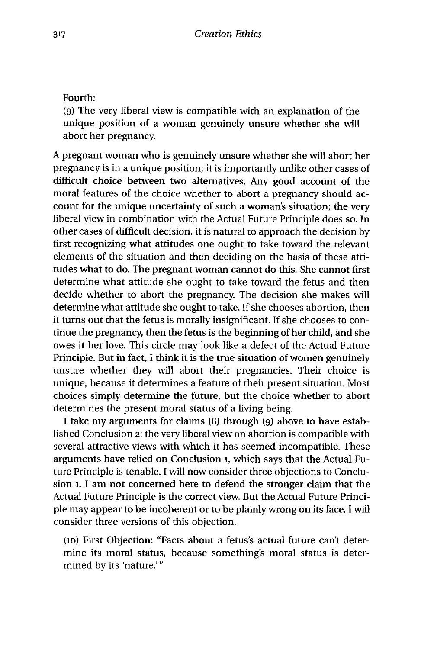Fourth:

(9) The very liberal view is compatible with **an** explanation of the unique position of a woman genuinely unsure whether she will abort her pregnancy.

A pregnant woman who is genuinely unsure whether she will abort her pregnancy is in a unique position; it is importantly unlike other cases of difficult choice between two alternatives. Any good account of the moral features of the choice whether to abort a pregnancy should account for the unique uncertainty of such a woman's situation; the very liberal view in combination with the Actual Future Principle does so. In other cases of difficult decision, it is natural to approach the decision by first recognizing what attitudes one ought to take toward the relevant elements of the situation and then deciding on the basis of these attitudes what to do. The pregnant woman cannot **do** this. She cannot first determine what attitude she ought to take toward the fetus and then decide whether to abort the pregnancy. The decision she makes will determine what attitude she ought to take. If she chooses abortion, then it turns out that the fetus is morally insignificant. If she chooses to continue the pregnancy, then the fetus is the beginning of her child, and she owes it her love. This circle may **look** like a defect of the Actual Future Principle. But in fact, I think it is the true situation of women genuinely unsure whether they will abort their pregnancies. Their choice is unique, because it determines a feature of their present situation. Most choices simply determine the future, but the choice whether to abort determines the present moral status of a living being.

I take my arguments for claims **(6)** through **(9)** above to have established Conclusion **2:** the very liberal view on abortion is compatible with several attractive views with which it has seemed incompatible. These arguments have relied on Conclusion **1,** which says that the Actual Future Principle is tenable. I will now consider three objections to Conclusion **1.** I **am** not concerned here to defend the stronger claim that the Actual Future Principle is the correct view. But the Actual Future Principle may appear to be incoherent or to be plainly wrong on its face. I **will**  consider three versions of this objection.

**(10)** First Objection: "Facts about a fetus's actual future can't determine its moral status, because something's moral status is determined by its 'nature."'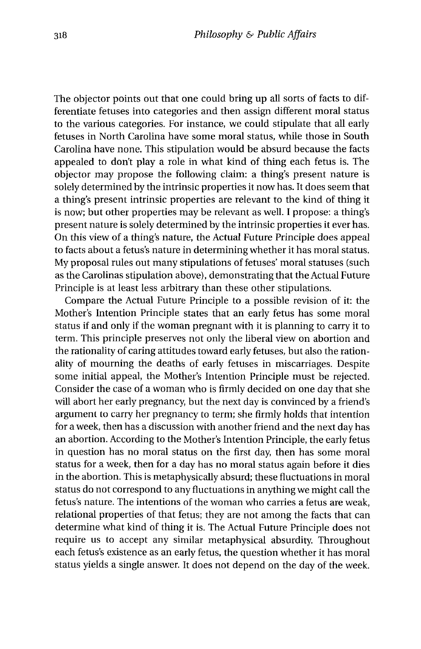The objector points out that one could bring up all sorts of facts to differentiate fetuses into categories and then assign different moral status to the various categories. For instance, we could stipulate that all early fetuses in North Carolina have some moral status, while those in South Carolina have none. This stipulation would be absurd because the facts appealed to don't play a role in what kind of thing each fetus is. The objector may propose the following claim: a thing's present nature is solely determined by the intrinsic properties it now has. It does seem that a thing's present intrinsic properties are relevant to the kind of thing it is now; but other properties may be relevant as well. **I** propose: a thing's present nature is solely determined by the intrinsic properties it ever has. On this view of a thing's nature, the Actual Future Principle does appeal to facts about a fetus's nature in determining whether it has moral status. My proposal rules out many stipulations of fetuses' moral statuses (such as the Carolinas stipulation above), demonstrating that the Actual Future Principle is at least less arbitrary than these other stipulations.

Compare the Actual Future Principle to a possible revision of it: the Mother's Intention Principle states that an early fetus has some moral status if and only if the woman pregnant with it is planning to carry it to term. This principle preserves not only the liberal view on abortion and the rationality of caring attitudes toward early fetuses, but also the rationality of mourning the deaths of early fetuses in miscarriages. Despite some initial appeal, the Mother's Intention Principle must be rejected. Consider the case of a woman who is firmly decided on one day that she will abort her early pregnancy, but the next day is convinced by a friend's argument to carry her pregnancy to term; she firmly holds that intention for a week, then has a discussion with another friend and the next day has an abortion. According to the Mother's Intention Principle, the early fetus in question has no moral status on the first day, then has some moral status for a week, then for a day has no moral status again before it dies in the abortion. This is metaphysically absurd; these fluctuations in moral status do not correspond to any fluctuations in anything we might call the fetus's nature. The intentions of the woman who carries a fetus are weak, relational properties of that fetus; they are not among the facts that can determine what kind of thing it is. The Actual Future Principle does not require us to accept any similar metaphysical absurdity. Throughout each fetus's existence as an early fetus, the question whether it has moral status yields a single answer. It does not depend on the day of the week.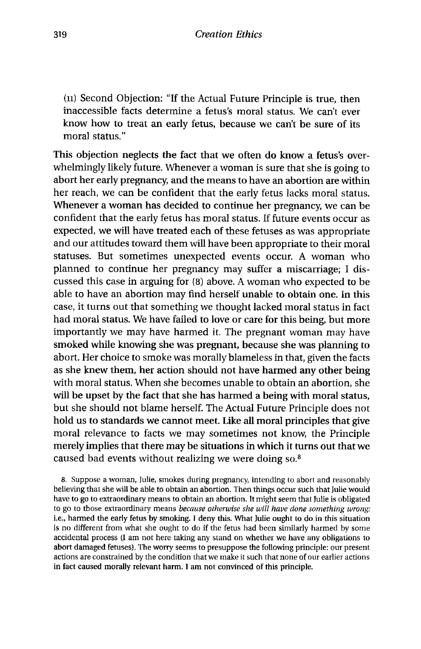**(11)** Second Objection: "If the Actual Future Principle is true, then inaccessible facts determine a fetus's moral status. We can't ever know how to treat an early fetus, because we can't be sure of its moral status."

This objection neglects the fact that we often do know a fetus's overwhelmingly likely future. Whenever a woman is sure that she is going to abort her early pregnancy, and the means to have an abortion are within her reach, we can be confident that the early fetus lacks moral status. Whenever a woman has decided to continue her pregnancy, we can be confident that the early fetus has moral status. If future events occur as expected, we will have treated each of these fetuses as was appropriate and our attitudes toward them will have been appropriate to their moral statuses. But sometimes unexpected events occur. A woman who planned to continue her pregnancy may suffer a miscarriage; I discussed this case in arguing for *(8)* above. A woman who expected to be able to have **an** abortion may find herself unable to obtain one. In this case, it turns out that something we thought lacked moral status in fact had moral status. We have failed to love or care for this being, but more importantly we may have harmed it. The pregnant woman may have smoked while knowing she was pregnant, because she was planning to abort. Her choice to smoke was morally blameless in that, given the facts as she knew them, her action should not have harmed any other being with moral status. When she becomes unable to obtain an abortion, she will be upset by the fact that she has harmed a being with moral status, but she should not blame herself. The Actual Future Principle does not hold us **to** standards we cannot meet. Like all moral principles that give moral relevance to facts we may sometimes not know, the Principle merely implies that there may be situations in which it turns out that we caused bad events without realizing we were doing  $so.^8$ 

**8.** Suppose a woman, Julie, smokes during pregnancy, intending to abort and reasonably believing that she will be able to obtain an abortion. Then things occur such that Julie would have to **go** to extraordinary means to obtain an abortion. **It** might seem that Julie is obligated to go to those extraordinary means *because otherwise she will have done something wrong:*  i.e., harmed the early fetus by smoking. **I** deny this. What Julie ought to do in this situation is no different from what she ought to do if the fetus had been similarly harmed by some accidental process **(I** am not here taking any stand on whether we have any obligations to abort damaged fetuses). The worry seems to presuppose the following principle: our present actions are constrained by the condition that we make it such that none of our earlier actions in fact caused morally relevant harm. **1 am** not convinced **of** this principle.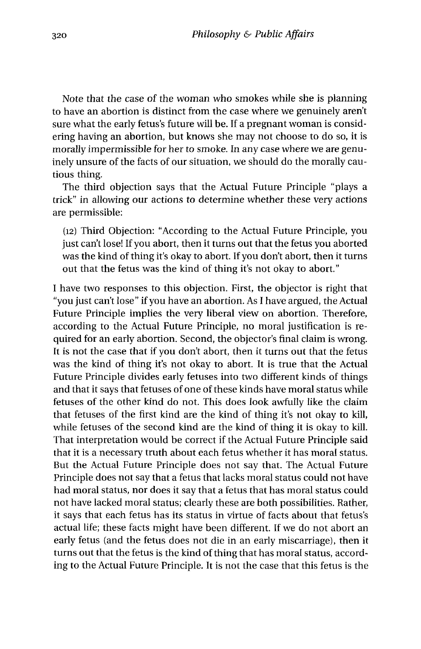Note that the case of the woman who smokes while she is planning to have an abortion is distinct from the case where we genuinely aren't sure what the early fetus's future will be. If a pregnant woman is considering having an abortion, but knows she may not choose to do so, it is morally impermissible for her to smoke. In any case where we are genuinely unsure of the facts of our situation, we should do the morally cautious thing.

The third objection says that the Actual Future Principle "plays a trick" in allowing our actions to determine whether these very actions are permissible:

(12) Third Objection: "According to the Actual Future Principle, you just can't lose! If you abort, then it turns out that the fetus you aborted was the kind of thing it's okay to abort. If you don't abort, then it turns out that the fetus was the kind of thing it's not okay to abort."

I have two responses to this objection. First, the objector is right that "you just can't lose" if you have an abortion. As I have argued, the Actual Future Principle implies the very liberal view on abortion. Therefore, according to the Actual Future Principle, no moral justification is required for an early abortion. Second, the objector's final claim is wrong. It is not the case that if you don't abort, then it turns out that the fetus was the kind of thing it's not okay to abort. It is true that the Actual Future Principle divides early fetuses into two different kinds of things and that it says that fetuses of one of these kinds have moral status while fetuses of the other kind do not. This does look awfully like the claim that fetuses of the first kind are the kind of thing it's not okay to kill, while fetuses of the second kind are the kind of thing it is okay to kill. That interpretation would be correct if the Actual Future Principle said that it is a necessary truth about each fetus whether it has moral status. But the Actual Future Principle does not say that. The Actual Future Principle does not say that a fetus that lacks moral status could not have had moral status, nor does it say that a fetus that has moral status could not have lacked moral status; clearly these are both possibilities. Rather, it says that each fetus has its status in virtue of facts about that fetus's actual life; these facts might have been different. If we do not abort an early fetus (and the fetus does not die in an early miscarriage), then it turns out that the fetus is the kind of thing that has moral status, according to the Actual Future Principle. It is not the case that this fetus is the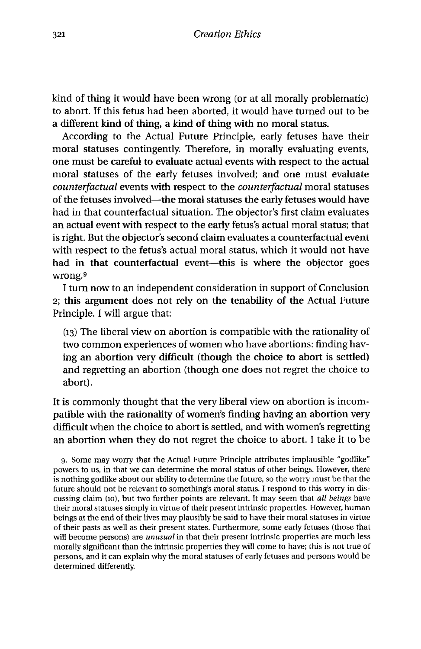kind of thing it would have been wrong (or at all morally problematic) to abort. If this fetus had been aborted, it would have turned out to be a different kind **of** thing, a kind **of** thing with no moral status.

According to the Actual Future Principle, early fetuses have their moral statuses contingently. Therefore, in morally evaluating events, one must be careful to evaluate actual events with respect to the actual moral statuses of the early fetuses involved: and one must evaluate *counterfactual* events with respect to the *counterfactual* moral statuses of the fetuses involved—the moral statuses the early fetuses would have had in that counterfactual situation. The objector's first claim evaluates an actual event with respect to the early fetus's actual moral status; that is right. But the objector's second claim evaluates a counterfactual event with respect to the fetus's actual moral status, which it would not have had in that counterfactual event-this is where the objector goes wrong.9

I turn now to an independent consideration in support of Conclusion *2;* this argument does not rely on the tenability of the Actual Future Principle. I will argue that:

**(13)** The liberal view on abortion is compatible with the rationality of two common experiences of women who have abortions: finding having an abortion very difficult (though the choice to abort is settled) and regretting an abortion (though one does not regret the choice to abort).

It is commonly thought that the very liberal view on abortion is incompatible with the rationality of women's finding having an abortion very difficult when the choice to abort is settled, and with women's regretting an abortion when they do not regret the choice to abort. I take it to be

9. Some may worry that the Actual Future Principle attributes implausible "godlike" powers to us, in that we can determine the moral status **of** other beings. However, there **is** nothing godlike about our ability to determine the future, so the worry must be that the future should not be relevant to something's moral status. **I** respond to this worry in discussing claim (lo), but two further points are relevant. It may seem that *all beings* have their moral statuses simply in virtue of their present intrinsic properties. However, human beings at the end of their lives may plausibly be said to have their moral statuses in virtue of their pasts as well **as** their present states. Furthermore, some early fetuses (those that will become persons) are *unusual* in that their present intrinsic properties are much less morally significant than the intrinsic properties they will come to have; this is not true of persons, and it can explain why the moral statuses of early fetuses and persons would be determined differently.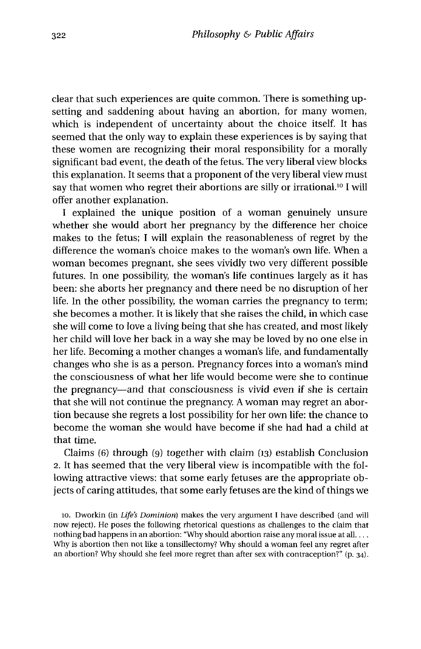clear that such experiences are quite common. There is something upsetting and saddening about having an abortion, for many women, which is independent of uncertainty about the choice itself. It has seemed that the only way to explain these experiences is by saying that these women are recognizing their moral responsibility for a morally significant bad event, the death of the fetus. The very liberal view blocks this explanation. It seems that a proponent of the very liberal view must say that women who regret their abortions are silly or irrational.<sup>10</sup> I will offer another explanation.

I explained the unique position of a woman genuinely unsure whether she would abort her pregnancy by the difference her choice makes to the fetus; I will explain the reasonableness of regret by the difference the woman's choice makes to the woman's own life. When a woman becomes pregnant, she sees vividly two very different possible futures. In one possibility, the woman's life continues largely as it has been: she aborts her pregnancy and there need be no disruption of her life. In the other possibility, the woman carries the pregnancy to term; she becomes a mother. It is likely that she raises the child, in which case she will come to love a living being that she has created, and most likely her child will love her back in a way she may be loved by no one else in her life. Becoming a mother changes a woman's life, and fundamentally changes who she is as a person. Pregnancy forces into a woman's mind the consciousness of what her life would become were she to continue the pregnancy-and that consciousness is vivid even if she is certain that she will not continue the pregnancy. A woman may regret an abortion because she regrets a lost possibility for her own life: the chance to become the woman she would have become if she had had a child at that time.

Claims (6) through *(9)* together with claim **(13)** establish Conclusion 2. It has seemed that the very liberal view is incompatible with the following attractive views: that some early fetuses are the appropriate objects of caring attitudes, that some early fetuses are the kind of things we

10. Dworkin (in *Life's Dominion)* makes the very argument I have described (and will now reject). He poses the following rhetorical questions as challenges to the claim that nothing bad happens in an abortion: "Why should abortion raise any moral issue at all. . . . Why is abortion then not like a tonsillectomy? Why should a woman feel any regret after an abortion? Why should she feel more regret than after sex with contraception?" (p. **34).**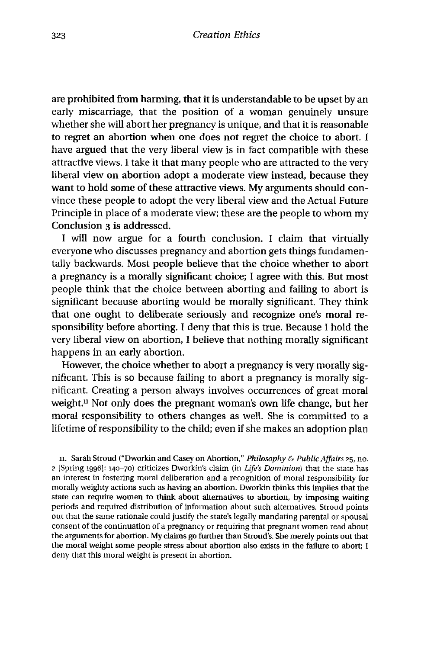are prohibited from harming, that it is understandable to be upset by an early miscarriage, that the position of a woman genuinely unsure whether she will abort her pregnancy is unique, and that it is reasonable to regret an abortion when one does not regret the choice to abort. I have argued that the very liberal view is in fact compatible with these attractive views. I take it that many people who are attracted to the very liberal view on abortion adopt a moderate view instead, because they want to hold some of these attractive views. My arguments should convince these people to adopt the very liberal view and the Actual Future Principle in place of a moderate view; these are the people to whom my Conclusion **3 is** addressed.

I will now argue for a fourth conclusion. I claim that virtually everyone who discusses pregnancy and abortion gets things fundamentally backwards. Most people believe that the choice whether **to** abort a pregnancy is a morally significant choice; I agree with this. But most people think that the choice between aborting and failing to abort is significant because aborting would be morally significant. They think that one ought to deliberate seriously and recognize one's moral responsibility before aborting. I deny that this is true. Because I hold the very liberal view on abortion, I believe that nothing morally significant happens in an early abortion.

However, the choice whether to abort **a** pregnancy is very morally **sig**nificant. This is so because failing to abort a pregnancy is morally significant. Creating a person always involves occurrences of great moral weight.<sup>11</sup> Not only does the pregnant woman's own life change, but her moral responsibility to others changes as well. She is committed to a lifetime of responsibility to the child; even if she makes an adoption plan

**11.** Sarah Stroud ("Dworkin and Casey on Abortion," *Philosophy C Public Affairs* 25, no. *z* [Spring **19961: 140-70)** criticizes Dworkin's claim (in *Life's Dominion)* that the state has an interest in fostering moral deliberation and a recognition of moral responsibility for morally weighty actions such as having an abortion. Dworkin thinks this implies that the state can require women to think about alternatives to abortion, by imposing waiting periods and required distribution of information about such alternatives. Stroud points out that the same rationale could justify the state's legally mandating parental or spousal consent of the continuation of a pregnancy or requiring that pregnant women read about the arguments for abortion. **My** claims *go* further than **Strouds.** She merely points out that the moral weight some people stress about abortion also exists in the failure to abort; I deny that this moral weight is present in abortion.